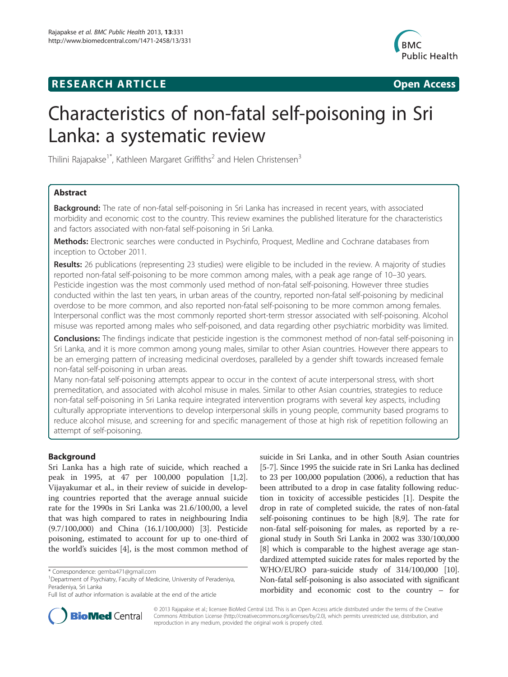# **RESEARCH ARTICLE Example 2018 12:00 Department of the CONNECTION CONNECTION CONNECTION CONNECTION**



# Characteristics of non-fatal self-poisoning in Sri Lanka: a systematic review

Thilini Rajapakse<sup>1\*</sup>, Kathleen Margaret Griffiths<sup>2</sup> and Helen Christensen<sup>3</sup>

# Abstract

Background: The rate of non-fatal self-poisoning in Sri Lanka has increased in recent years, with associated morbidity and economic cost to the country. This review examines the published literature for the characteristics and factors associated with non-fatal self-poisoning in Sri Lanka.

Methods: Electronic searches were conducted in Psychinfo, Proquest, Medline and Cochrane databases from inception to October 2011.

Results: 26 publications (representing 23 studies) were eligible to be included in the review. A majority of studies reported non-fatal self-poisoning to be more common among males, with a peak age range of 10–30 years. Pesticide ingestion was the most commonly used method of non-fatal self-poisoning. However three studies conducted within the last ten years, in urban areas of the country, reported non-fatal self-poisoning by medicinal overdose to be more common, and also reported non-fatal self-poisoning to be more common among females. Interpersonal conflict was the most commonly reported short-term stressor associated with self-poisoning. Alcohol misuse was reported among males who self-poisoned, and data regarding other psychiatric morbidity was limited.

**Conclusions:** The findings indicate that pesticide ingestion is the commonest method of non-fatal self-poisoning in Sri Lanka, and it is more common among young males, similar to other Asian countries. However there appears to be an emerging pattern of increasing medicinal overdoses, paralleled by a gender shift towards increased female non-fatal self-poisoning in urban areas.

Many non-fatal self-poisoning attempts appear to occur in the context of acute interpersonal stress, with short premeditation, and associated with alcohol misuse in males. Similar to other Asian countries, strategies to reduce non-fatal self-poisoning in Sri Lanka require integrated intervention programs with several key aspects, including culturally appropriate interventions to develop interpersonal skills in young people, community based programs to reduce alcohol misuse, and screening for and specific management of those at high risk of repetition following an attempt of self-poisoning.

# Background

Sri Lanka has a high rate of suicide, which reached a peak in 1995, at 47 per 100,000 population [\[1,2](#page-12-0)]. Vijayakumar et al., in their review of suicide in developing countries reported that the average annual suicide rate for the 1990s in Sri Lanka was 21.6/100,00, a level that was high compared to rates in neighbouring India (9.7/100,000) and China (16.1/100,000) [[3\]](#page-12-0). Pesticide poisoning, estimated to account for up to one-third of the world's suicides [[4\]](#page-12-0), is the most common method of

suicide in Sri Lanka, and in other South Asian countries [[5-7\]](#page-12-0). Since 1995 the suicide rate in Sri Lanka has declined to 23 per 100,000 population (2006), a reduction that has been attributed to a drop in case fatality following reduction in toxicity of accessible pesticides [\[1\]](#page-12-0). Despite the drop in rate of completed suicide, the rates of non-fatal self-poisoning continues to be high [\[8,9](#page-12-0)]. The rate for non-fatal self-poisoning for males, as reported by a regional study in South Sri Lanka in 2002 was 330/100,000 [[8\]](#page-12-0) which is comparable to the highest average age standardized attempted suicide rates for males reported by the WHO/EURO para-suicide study of 314/100,000 [[10](#page-12-0)]. Non-fatal self-poisoning is also associated with significant morbidity and economic cost to the country – for



© 2013 Rajapakse et al.; licensee BioMed Central Ltd. This is an Open Access article distributed under the terms of the Creative Commons Attribution License [\(http://creativecommons.org/licenses/by/2.0\)](http://creativecommons.org/licenses/by/2.0), which permits unrestricted use, distribution, and reproduction in any medium, provided the original work is properly cited.

<sup>\*</sup> Correspondence: [gemba471@gmail.com](mailto:gemba471@gmail.com) <sup>1</sup>

<sup>&</sup>lt;sup>1</sup>Department of Psychiatry, Faculty of Medicine, University of Peradeniya, Peradeniya, Sri Lanka

Full list of author information is available at the end of the article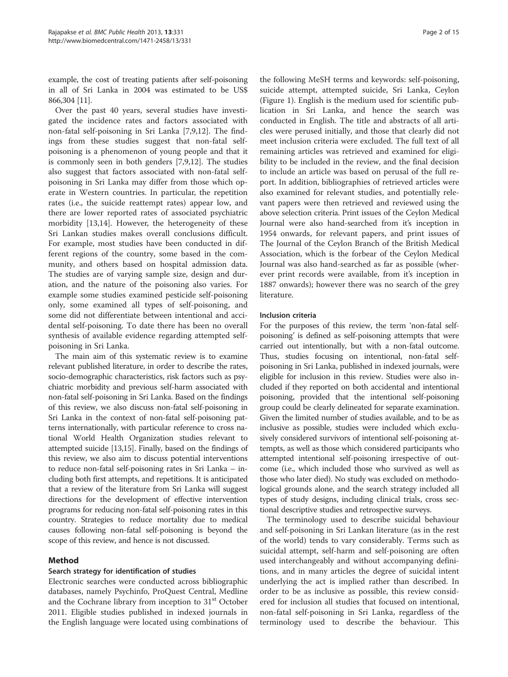example, the cost of treating patients after self-poisoning in all of Sri Lanka in 2004 was estimated to be US\$ 866,304 [\[11\]](#page-12-0).

Over the past 40 years, several studies have investigated the incidence rates and factors associated with non-fatal self-poisoning in Sri Lanka [[7,9,12\]](#page-12-0). The findings from these studies suggest that non-fatal selfpoisoning is a phenomenon of young people and that it is commonly seen in both genders [\[7,9,12](#page-12-0)]. The studies also suggest that factors associated with non-fatal selfpoisoning in Sri Lanka may differ from those which operate in Western countries. In particular, the repetition rates (i.e., the suicide reattempt rates) appear low, and there are lower reported rates of associated psychiatric morbidity [[13](#page-12-0),[14](#page-12-0)]. However, the heterogeneity of these Sri Lankan studies makes overall conclusions difficult. For example, most studies have been conducted in different regions of the country, some based in the community, and others based on hospital admission data. The studies are of varying sample size, design and duration, and the nature of the poisoning also varies. For example some studies examined pesticide self-poisoning only, some examined all types of self-poisoning, and some did not differentiate between intentional and accidental self-poisoning. To date there has been no overall synthesis of available evidence regarding attempted selfpoisoning in Sri Lanka.

The main aim of this systematic review is to examine relevant published literature, in order to describe the rates, socio-demographic characteristics, risk factors such as psychiatric morbidity and previous self-harm associated with non-fatal self-poisoning in Sri Lanka. Based on the findings of this review, we also discuss non-fatal self-poisoning in Sri Lanka in the context of non-fatal self-poisoning patterns internationally, with particular reference to cross national World Health Organization studies relevant to attempted suicide [\[13,15](#page-12-0)]. Finally, based on the findings of this review, we also aim to discuss potential interventions to reduce non-fatal self-poisoning rates in Sri Lanka – including both first attempts, and repetitions. It is anticipated that a review of the literature from Sri Lanka will suggest directions for the development of effective intervention programs for reducing non-fatal self-poisoning rates in this country. Strategies to reduce mortality due to medical causes following non-fatal self-poisoning is beyond the scope of this review, and hence is not discussed.

### Method

# Search strategy for identification of studies

Electronic searches were conducted across bibliographic databases, namely Psychinfo, ProQuest Central, Medline and the Cochrane library from inception to  $31<sup>st</sup>$  October 2011. Eligible studies published in indexed journals in the English language were located using combinations of

the following MeSH terms and keywords: self-poisoning, suicide attempt, attempted suicide, Sri Lanka, Ceylon (Figure [1](#page-2-0)). English is the medium used for scientific publication in Sri Lanka, and hence the search was conducted in English. The title and abstracts of all articles were perused initially, and those that clearly did not meet inclusion criteria were excluded. The full text of all remaining articles was retrieved and examined for eligibility to be included in the review, and the final decision to include an article was based on perusal of the full report. In addition, bibliographies of retrieved articles were also examined for relevant studies, and potentially relevant papers were then retrieved and reviewed using the above selection criteria. Print issues of the Ceylon Medical Journal were also hand-searched from it's inception in 1954 onwards, for relevant papers, and print issues of The Journal of the Ceylon Branch of the British Medical Association, which is the forbear of the Ceylon Medical Journal was also hand-searched as far as possible (wherever print records were available, from it's inception in 1887 onwards); however there was no search of the grey literature.

#### Inclusion criteria

For the purposes of this review, the term 'non-fatal selfpoisoning' is defined as self-poisoning attempts that were carried out intentionally, but with a non-fatal outcome. Thus, studies focusing on intentional, non-fatal selfpoisoning in Sri Lanka, published in indexed journals, were eligible for inclusion in this review. Studies were also included if they reported on both accidental and intentional poisoning, provided that the intentional self-poisoning group could be clearly delineated for separate examination. Given the limited number of studies available, and to be as inclusive as possible, studies were included which exclusively considered survivors of intentional self-poisoning attempts, as well as those which considered participants who attempted intentional self-poisoning irrespective of outcome (i.e., which included those who survived as well as those who later died). No study was excluded on methodological grounds alone, and the search strategy included all types of study designs, including clinical trials, cross sectional descriptive studies and retrospective surveys.

The terminology used to describe suicidal behaviour and self-poisoning in Sri Lankan literature (as in the rest of the world) tends to vary considerably. Terms such as suicidal attempt, self-harm and self-poisoning are often used interchangeably and without accompanying definitions, and in many articles the degree of suicidal intent underlying the act is implied rather than described. In order to be as inclusive as possible, this review considered for inclusion all studies that focused on intentional, non-fatal self-poisoning in Sri Lanka, regardless of the terminology used to describe the behaviour. This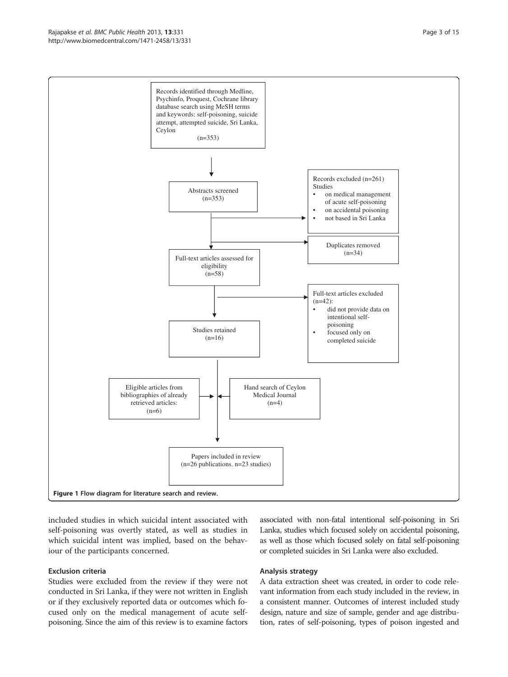<span id="page-2-0"></span>

included studies in which suicidal intent associated with self-poisoning was overtly stated, as well as studies in which suicidal intent was implied, based on the behaviour of the participants concerned.

### Exclusion criteria

Studies were excluded from the review if they were not conducted in Sri Lanka, if they were not written in English or if they exclusively reported data or outcomes which focused only on the medical management of acute selfpoisoning. Since the aim of this review is to examine factors

associated with non-fatal intentional self-poisoning in Sri Lanka, studies which focused solely on accidental poisoning, as well as those which focused solely on fatal self-poisoning or completed suicides in Sri Lanka were also excluded.

# Analysis strategy

A data extraction sheet was created, in order to code relevant information from each study included in the review, in a consistent manner. Outcomes of interest included study design, nature and size of sample, gender and age distribution, rates of self-poisoning, types of poison ingested and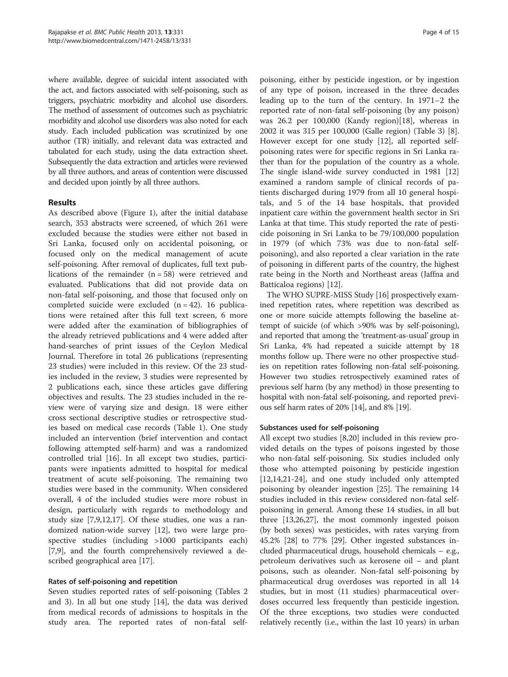where available, degree of suicidal intent associated with the act, and factors associated with self-poisoning, such as triggers, psychiatric morbidity and alcohol use disorders. The method of assessment of outcomes such as psychiatric morbidity and alcohol use disorders was also noted for each study. Each included publication was scrutinized by one author (TR) initially, and relevant data was extracted and tabulated for each study, using the data extraction sheet. Subsequently the data extraction and articles were reviewed by all three authors, and areas of contention were discussed and decided upon jointly by all three authors.

### Results

As described above (Figure [1\)](#page-2-0), after the initial database search, 353 abstracts were screened, of which 261 were excluded because the studies were either not based in Sri Lanka, focused only on accidental poisoning, or focused only on the medical management of acute self-poisoning. After removal of duplicates, full text publications of the remainder  $(n = 58)$  were retrieved and evaluated. Publications that did not provide data on non-fatal self-poisoning, and those that focused only on completed suicide were excluded  $(n = 42)$ . 16 publications were retained after this full text screen, 6 more were added after the examination of bibliographies of the already retrieved publications and 4 were added after hand-searches of print issues of the Ceylon Medical Journal. Therefore in total 26 publications (representing 23 studies) were included in this review. Of the 23 studies included in the review, 3 studies were represented by 2 publications each, since these articles gave differing objectives and results. The 23 studies included in the review were of varying size and design. 18 were either cross sectional descriptive studies or retrospective studies based on medical case records (Table [1\)](#page-4-0). One study included an intervention (brief intervention and contact following attempted self-harm) and was a randomized controlled trial [\[16](#page-12-0)]. In all except two studies, participants were inpatients admitted to hospital for medical treatment of acute self-poisoning. The remaining two studies were based in the community. When considered overall, 4 of the included studies were more robust in design, particularly with regards to methodology and study size [\[7,9](#page-12-0),[12,17](#page-12-0)]. Of these studies, one was a randomized nation-wide survey [\[12](#page-12-0)], two were large prospective studies (including >1000 participants each) [[7,9\]](#page-12-0), and the fourth comprehensively reviewed a described geographical area [\[17\]](#page-12-0).

### Rates of self-poisoning and repetition

Seven studies reported rates of self-poisoning (Tables [2](#page-5-0) and [3\)](#page-6-0). In all but one study [\[14](#page-12-0)], the data was derived from medical records of admissions to hospitals in the study area. The reported rates of non-fatal self-

poisoning, either by pesticide ingestion, or by ingestion of any type of poison, increased in the three decades leading up to the turn of the century. In 1971–2 the reported rate of non-fatal self-poisoning (by any poison) was 26.2 per 100,000 (Kandy region)[\[18](#page-12-0)], whereas in 2002 it was 315 per 100,000 (Galle region) (Table [3\)](#page-6-0) [\[8](#page-12-0)]. However except for one study [[12\]](#page-12-0), all reported selfpoisoning rates were for specific regions in Sri Lanka rather than for the population of the country as a whole. The single island-wide survey conducted in 1981 [[12](#page-12-0)] examined a random sample of clinical records of patients discharged during 1979 from all 10 general hospitals, and 5 of the 14 base hospitals, that provided inpatient care within the government health sector in Sri Lanka at that time. This study reported the rate of pesticide poisoning in Sri Lanka to be 79/100,000 population in 1979 (of which 73% was due to non-fatal selfpoisoning), and also reported a clear variation in the rate of poisoning in different parts of the country, the highest rate being in the North and Northeast areas (Jaffna and Batticaloa regions) [[12\]](#page-12-0).

The WHO SUPRE-MISS Study [[16](#page-12-0)] prospectively examined repetition rates, where repetition was described as one or more suicide attempts following the baseline attempt of suicide (of which >90% was by self-poisoning), and reported that among the 'treatment-as-usual' group in Sri Lanka, 4% had repeated a suicide attempt by 18 months follow up. There were no other prospective studies on repetition rates following non-fatal self-poisoning. However two studies retrospectively examined rates of previous self harm (by any method) in those presenting to hospital with non-fatal self-poisoning, and reported previous self harm rates of 20% [\[14\]](#page-12-0), and 8% [\[19\]](#page-12-0).

### Substances used for self-poisoning

All except two studies [[8](#page-12-0),[20](#page-12-0)] included in this review provided details on the types of poisons ingested by those who non-fatal self-poisoning. Six studies included only those who attempted poisoning by pesticide ingestion [[12,14,](#page-12-0)[21-24\]](#page-13-0), and one study included only attempted poisoning by oleander ingestion [[25\]](#page-13-0). The remaining 14 studies included in this review considered non-fatal selfpoisoning in general. Among these 14 studies, in all but three [\[13](#page-12-0)[,26,27](#page-13-0)], the most commonly ingested poison (by both sexes) was pesticides, with rates varying from 45.2% [\[28](#page-13-0)] to 77% [[29](#page-13-0)]. Other ingested substances included pharmaceutical drugs, household chemicals – e.g., petroleum derivatives such as kerosene oil – and plant poisons, such as oleander. Non-fatal self-poisoning by pharmaceutical drug overdoses was reported in all 14 studies, but in most (11 studies) pharmaceutical overdoses occurred less frequently than pesticide ingestion. Of the three exceptions, two studies were conducted relatively recently (i.e., within the last 10 years) in urban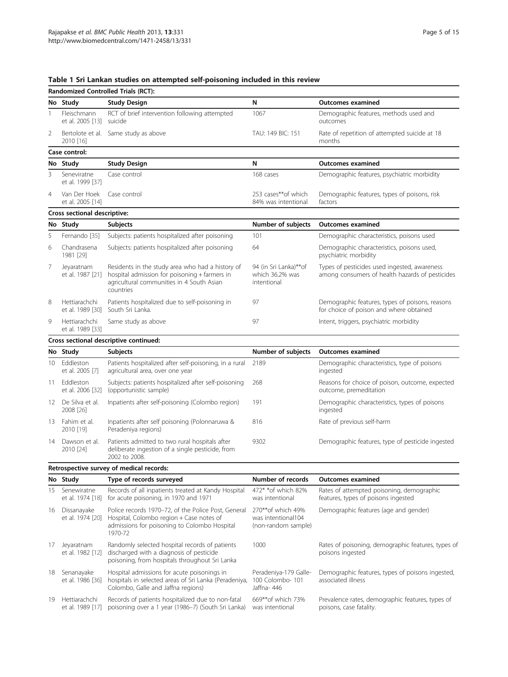# <span id="page-4-0"></span>Table 1 Sri Lankan studies on attempted self-poisoning included in this review

|                | יסו כוווז ווכר ו שטשטוטוויטנטוויטנט ווכן מענטער ווסטומוס ווכר ו שטשטר |                                                                                                                                                             |                                                                |                                                                                                 |  |  |  |
|----------------|-----------------------------------------------------------------------|-------------------------------------------------------------------------------------------------------------------------------------------------------------|----------------------------------------------------------------|-------------------------------------------------------------------------------------------------|--|--|--|
|                | Randomized Controlled Trials (RCT):                                   |                                                                                                                                                             |                                                                |                                                                                                 |  |  |  |
|                | No Study                                                              | <b>Study Design</b>                                                                                                                                         | N                                                              | <b>Outcomes examined</b>                                                                        |  |  |  |
| 1              | Fleischmann<br>et al. 2005 [13]                                       | RCT of brief intervention following attempted<br>suicide                                                                                                    | 1067                                                           | Demographic features, methods used and<br>outcomes                                              |  |  |  |
| $\overline{2}$ | 2010 [16]                                                             | Bertolote et al. Same study as above                                                                                                                        | TAU: 149 BIC: 151                                              | Rate of repetition of attempted suicide at 18<br>months                                         |  |  |  |
|                | Case control:                                                         |                                                                                                                                                             |                                                                |                                                                                                 |  |  |  |
|                | No Study                                                              | <b>Study Design</b>                                                                                                                                         | N                                                              | <b>Outcomes examined</b>                                                                        |  |  |  |
| 3              | Seneviratne<br>et al. 1999 [37]                                       | Case control                                                                                                                                                | 168 cases                                                      | Demographic features, psychiatric morbidity                                                     |  |  |  |
| $\overline{4}$ | Van Der Hoek<br>et al. 2005 [14]                                      | Case control                                                                                                                                                | 253 cases**of which<br>84% was intentional                     | Demographic features, types of poisons, risk<br>factors                                         |  |  |  |
|                | Cross sectional descriptive:                                          |                                                                                                                                                             |                                                                |                                                                                                 |  |  |  |
|                | No Study                                                              | <b>Subjects</b>                                                                                                                                             | Number of subjects                                             | <b>Outcomes examined</b>                                                                        |  |  |  |
| 5              | Fernando [35]                                                         | Subjects: patients hospitalized after poisoning                                                                                                             | 101                                                            | Demographic characteristics, poisons used                                                       |  |  |  |
| 6              | Chandrasena<br>1981 [29]                                              | Subjects: patients hospitalized after poisoning                                                                                                             | 64                                                             | Demographic characteristics, poisons used,<br>psychiatric morbidity                             |  |  |  |
| 7              | Jeyaratnam<br>et al. 1987 [21]                                        | Residents in the study area who had a history of<br>hospital admission for poisoning + farmers in<br>agricultural communities in 4 South Asian<br>countries | 94 (in Sri Lanka)**of<br>which 36.2% was<br>intentional        | Types of pesticides used ingested, awareness<br>among consumers of health hazards of pesticides |  |  |  |
| 8              | Hettiarachchi<br>et al. 1989 [30]                                     | Patients hospitalized due to self-poisoning in<br>South Sri Lanka.                                                                                          | 97                                                             | Demographic features, types of poisons, reasons<br>for choice of poison and where obtained      |  |  |  |
| 9              | Hettiarachchi<br>et al. 1989 [33]                                     | Same study as above                                                                                                                                         | 97                                                             | Intent, triggers, psychiatric morbidity                                                         |  |  |  |
|                |                                                                       | Cross sectional descriptive continued:                                                                                                                      |                                                                |                                                                                                 |  |  |  |
|                | No Study                                                              | <b>Subjects</b>                                                                                                                                             | Number of subjects                                             | <b>Outcomes examined</b>                                                                        |  |  |  |
| 10             | Eddleston<br>et al. 2005 [7]                                          | Patients hospitalized after self-poisoning, in a rural<br>agricultural area, over one year                                                                  | 2189                                                           | Demographic characteristics, type of poisons<br>ingested                                        |  |  |  |
| 11             | Eddleston<br>et al. 2006 [32]                                         | Subjects: patients hospitalized after self-poisoning<br>(opportunistic sample)                                                                              | 268                                                            | Reasons for choice of poison, outcome, expected<br>outcome, premeditation                       |  |  |  |
| 12             | De Silva et al.<br>2008 [26]                                          | Inpatients after self-poisoning (Colombo region)                                                                                                            | 191                                                            | Demographic characteristics, types of poisons<br>ingested                                       |  |  |  |
| 13             | Fahim et al.<br>2010 [19]                                             | Inpatients after self poisoning (Polonnaruwa &<br>Peradeniya regions)                                                                                       | 816                                                            | Rate of previous self-harm                                                                      |  |  |  |
| 14             | Dawson et al.<br>2010 [24]                                            | Patients admitted to two rural hospitals after<br>deliberate ingestion of a single pesticide, from<br>2002 to 2008.                                         | 9302                                                           | Demographic features, type of pesticide ingested                                                |  |  |  |
|                |                                                                       | Retrospective survey of medical records:                                                                                                                    |                                                                |                                                                                                 |  |  |  |
|                | No Study                                                              | Type of records surveyed                                                                                                                                    | <b>Number of records</b>                                       | <b>Outcomes examined</b>                                                                        |  |  |  |
| 15             | Senewiratne<br>et al. 1974 [18]                                       | Records of all inpatients treated at Kandy Hospital<br>for acute poisoning, in 1970 and 1971                                                                | 472* * of which 82%<br>was intentional                         | Rates of attempted poisoning, demographic<br>features, types of poisons ingested                |  |  |  |
| 16             | Dissanayake<br>et al. 1974 [20]                                       | Police records 1970–72, of the Police Post, General<br>Hospital, Colombo region + Case notes of<br>admissions for poisoning to Colombo Hospital<br>1970-72  | 270**of which 49%<br>was intentional104<br>(non-random sample) | Demographic features (age and gender)                                                           |  |  |  |
| 17             | Jeyaratnam<br>et al. 1982 [12]                                        | Randomly selected hospital records of patients<br>discharged with a diagnosis of pesticide<br>poisoning, from hospitals throughout Sri Lanka                | 1000                                                           | Rates of poisoning, demographic features, types of<br>poisons ingested                          |  |  |  |
| 18             | Senanayake<br>et al. 1986 [36]                                        | Hospital admissions for acute poisonings in<br>hospitals in selected areas of Sri Lanka (Peradeniya,<br>Colombo, Galle and Jaffna regions)                  | Peradeniya-179 Galle-<br>100 Colombo- 101<br>Jaffna-446        | Demographic features, types of poisons ingested,<br>associated illness                          |  |  |  |
| 19             | Hettiarachchi<br>et al. 1989 [17]                                     | Records of patients hospitalized due to non-fatal<br>poisoning over a 1 year (1986-7) (South Sri Lanka)                                                     | 669**of which 73%<br>was intentional                           | Prevalence rates, demographic features, types of<br>poisons, case fatality.                     |  |  |  |
|                |                                                                       |                                                                                                                                                             |                                                                |                                                                                                 |  |  |  |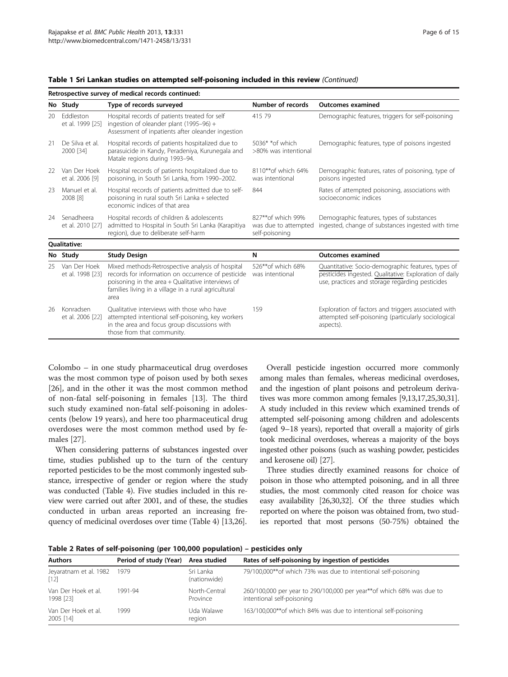| Retrospective survey of medical records continued: |                                  |                                                                                                                                                                                                                             |                                                              |                                                                                                                                                                 |  |
|----------------------------------------------------|----------------------------------|-----------------------------------------------------------------------------------------------------------------------------------------------------------------------------------------------------------------------------|--------------------------------------------------------------|-----------------------------------------------------------------------------------------------------------------------------------------------------------------|--|
|                                                    | No Study                         | Type of records surveyed                                                                                                                                                                                                    | Number of records                                            | <b>Outcomes examined</b>                                                                                                                                        |  |
| 20                                                 | Eddleston<br>et al. 1999 [25]    | Hospital records of patients treated for self<br>ingestion of oleander plant (1995-96) +<br>Assessment of inpatients after oleander ingestion                                                                               | 415 79                                                       | Demographic features, triggers for self-poisoning                                                                                                               |  |
| 21                                                 | De Silva et al.<br>2000 [34]     | Hospital records of patients hospitalized due to<br>parasuicide in Kandy, Peradeniya, Kurunegala and<br>Matale regions during 1993-94.                                                                                      | 5036* *of which<br>>80% was intentional                      | Demographic features, type of poisons ingested                                                                                                                  |  |
| 22                                                 | Van Der Hoek<br>et al. 2006 [9]  | Hospital records of patients hospitalized due to<br>poisoning, in South Sri Lanka, from 1990-2002.                                                                                                                          | 8110**of which 64%<br>was intentional                        | Demographic features, rates of poisoning, type of<br>poisons ingested                                                                                           |  |
| 23                                                 | Manuel et al.<br>2008 [8]        | Hospital records of patients admitted due to self-<br>poisoning in rural south Sri Lanka + selected<br>economic indices of that area                                                                                        | 844                                                          | Rates of attempted poisoning, associations with<br>socioeconomic indices                                                                                        |  |
| 24                                                 | Senadheera<br>et al. 2010 [27]   | Hospital records of children & adolescents<br>admitted to Hospital in South Sri Lanka (Karapitiya<br>region), due to deliberate self-harm                                                                                   | 827** of which 99%<br>was due to attempted<br>self-poisoning | Demographic features, types of substances<br>ingested, change of substances ingested with time                                                                  |  |
| <b>Oualitative:</b>                                |                                  |                                                                                                                                                                                                                             |                                                              |                                                                                                                                                                 |  |
|                                                    | No Study                         | <b>Study Design</b>                                                                                                                                                                                                         | N                                                            | <b>Outcomes examined</b>                                                                                                                                        |  |
| 25                                                 | Van Der Hoek<br>et al. 1998 [23] | Mixed methods-Retrospective analysis of hospital<br>records for information on occurrence of pesticide<br>poisoning in the area + Qualitative interviews of<br>families living in a village in a rural agricultural<br>area | 526**of which 68%<br>was intentional                         | Quantitative: Socio-demographic features, types of<br>pesticides ingested. Qualitative: Exploration of daily<br>use, practices and storage regarding pesticides |  |
| 26                                                 | Konradsen<br>et al. 2006 [22]    | Qualitative interviews with those who have<br>attempted intentional self-poisoning, key workers<br>in the area and focus group discussions with<br>those from that community.                                               | 159                                                          | Exploration of factors and triggers associated with<br>attempted self-poisoning (particularly sociological<br>aspects).                                         |  |

<span id="page-5-0"></span>Table 1 Sri Lankan studies on attempted self-poisoning included in this review (Continued)

Colombo – in one study pharmaceutical drug overdoses was the most common type of poison used by both sexes [[26\]](#page-13-0), and in the other it was the most common method of non-fatal self-poisoning in females [\[13\]](#page-12-0). The third such study examined non-fatal self-poisoning in adolescents (below 19 years), and here too pharmaceutical drug overdoses were the most common method used by females [[27\]](#page-13-0).

When considering patterns of substances ingested over time, studies published up to the turn of the century reported pesticides to be the most commonly ingested substance, irrespective of gender or region where the study was conducted (Table [4\)](#page-6-0). Five studies included in this review were carried out after 2001, and of these, the studies conducted in urban areas reported an increasing frequency of medicinal overdoses over time (Table [4](#page-6-0)) [\[13,](#page-12-0)[26](#page-13-0)].

Overall pesticide ingestion occurred more commonly among males than females, whereas medicinal overdoses, and the ingestion of plant poisons and petroleum derivatives was more common among females [\[9,13,17,](#page-12-0)[25,30,31](#page-13-0)]. A study included in this review which examined trends of attempted self-poisoning among children and adolescents (aged 9–18 years), reported that overall a majority of girls took medicinal overdoses, whereas a majority of the boys ingested other poisons (such as washing powder, pesticides and kerosene oil) [\[27](#page-13-0)].

Three studies directly examined reasons for choice of poison in those who attempted poisoning, and in all three studies, the most commonly cited reason for choice was easy availability [\[26,30,32](#page-13-0)]. Of the three studies which reported on where the poison was obtained from, two studies reported that most persons (50-75%) obtained the

Table 2 Rates of self-poisoning (per 100,000 population) – pesticides only

| <b>Authors</b>                   | Period of study (Year) | Area studied              | Rates of self-poisoning by ingestion of pesticides                                                  |
|----------------------------------|------------------------|---------------------------|-----------------------------------------------------------------------------------------------------|
| Jeyaratnam et al. 1982<br>$[12]$ | 1979                   | Sri Lanka<br>(nationwide) | 79/100,000**of which 73% was due to intentional self-poisoning                                      |
| Van Der Hoek et al.<br>1998 [23] | 1991-94                | North-Central<br>Province | 260/100,000 per year to 290/100,000 per year**of which 68% was due to<br>intentional self-poisoning |
| Van Der Hoek et al.<br>2005 [14] | 1999                   | Uda Walawe<br>region      | 163/100,000**of which 84% was due to intentional self-poisoning                                     |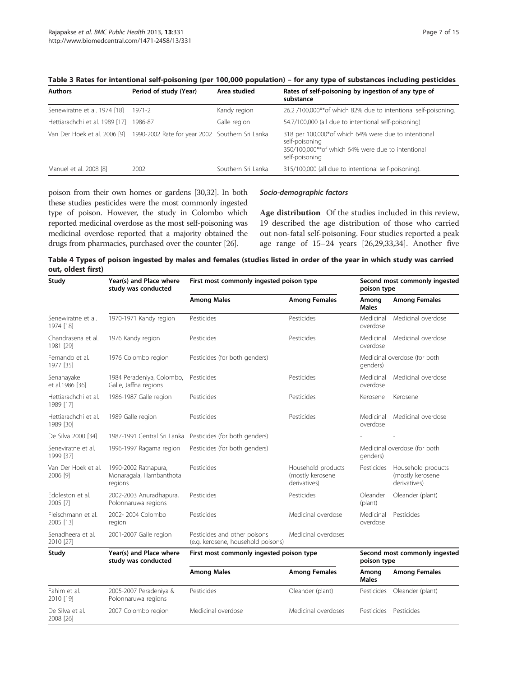| <b>Authors</b>                 | Period of study (Year)                          | Area studied       | Rates of self-poisoning by ingestion of any type of<br>substance                                                                              |
|--------------------------------|-------------------------------------------------|--------------------|-----------------------------------------------------------------------------------------------------------------------------------------------|
| Senewiratne et al. 1974 [18]   | 1971-2                                          | Kandy region       | 26.2 /100,000**of which 82% due to intentional self-poisoning.                                                                                |
| Hettiarachchi et al. 1989 [17] | 1986-87                                         | Galle region       | 54.7/100,000 (all due to intentional self-poisoning)                                                                                          |
| Van Der Hoek et al. 2006 [9]   | 1990-2002 Rate for year 2002 Southern Sri Lanka |                    | 318 per 100,000*of which 64% were due to intentional<br>self-poisoning<br>350/100,000**of which 64% were due to intentional<br>self-poisoning |
| Manuel et al. 2008 [8]         | 2002                                            | Southern Sri Lanka | 315/100,000 (all due to intentional self-poisoning).                                                                                          |

#### <span id="page-6-0"></span>Table 3 Rates for intentional self-poisoning (per 100,000 population) – for any type of substances including pesticides

poison from their own homes or gardens [[30,32\]](#page-13-0). In both these studies pesticides were the most commonly ingested type of poison. However, the study in Colombo which reported medicinal overdose as the most self-poisoning was medicinal overdose reported that a majority obtained the drugs from pharmacies, purchased over the counter [\[26\]](#page-13-0).

#### Socio-demographic factors

Age distribution Of the studies included in this review, 19 described the age distribution of those who carried out non-fatal self-poisoning. Four studies reported a peak age range of 15–24 years [\[26,29,33,34](#page-13-0)]. Another five

Table 4 Types of poison ingested by males and females (studies listed in order of the year in which study was carried out, oldest first)

| Study                             | Year(s) and Place where<br>study was conducted             | First most commonly ingested poison type                           |                                                        | Second most commonly ingested<br>poison type |                                                        |
|-----------------------------------|------------------------------------------------------------|--------------------------------------------------------------------|--------------------------------------------------------|----------------------------------------------|--------------------------------------------------------|
|                                   |                                                            | <b>Among Males</b>                                                 | <b>Among Females</b>                                   | Among<br><b>Males</b>                        | <b>Among Females</b>                                   |
| Senewiratne et al.<br>1974 [18]   | 1970-1971 Kandy region                                     | Pesticides                                                         | Pesticides                                             | Medicinal<br>overdose                        | Medicinal overdose                                     |
| Chandrasena et al.<br>1981 [29]   | 1976 Kandy region                                          | Pesticides                                                         | Pesticides                                             | Medicinal<br>overdose                        | Medicinal overdose                                     |
| Fernando et al.<br>1977 [35]      | 1976 Colombo region                                        | Pesticides (for both genders)                                      |                                                        | genders)                                     | Medicinal overdose (for both                           |
| Senanayake<br>et al.1986 [36]     | 1984 Peradeniya, Colombo,<br>Galle, Jaffna regions         | Pesticides                                                         | Pesticides                                             | Medicinal<br>overdose                        | Medicinal overdose                                     |
| Hettiarachchi et al.<br>1989 [17] | 1986-1987 Galle region                                     | Pesticides                                                         | Pesticides                                             | Kerosene                                     | Kerosene                                               |
| Hettiarachchi et al.<br>1989 [30] | 1989 Galle region                                          | Pesticides                                                         | Pesticides                                             | Medicinal<br>overdose                        | Medicinal overdose                                     |
| De Silva 2000 [34]                | 1987-1991 Central Sri Lanka                                | Pesticides (for both genders)                                      |                                                        |                                              |                                                        |
| Seneviratne et al.<br>1999 [37]   | 1996-1997 Ragama region                                    | Pesticides (for both genders)                                      |                                                        | genders)                                     | Medicinal overdose (for both                           |
| Van Der Hoek et al.<br>2006 [9]   | 1990-2002 Ratnapura,<br>Monaragala, Hambanthota<br>regions | Pesticides                                                         | Household products<br>(mostly kerosene<br>derivatives) | Pesticides                                   | Household products<br>(mostly kerosene<br>derivatives) |
| Eddleston et al.<br>2005 [7]      | 2002-2003 Anuradhapura,<br>Polonnaruwa regions             | Pesticides                                                         | Pesticides                                             | Oleander<br>(plant)                          | Oleander (plant)                                       |
| Fleischmann et al.<br>2005 [13]   | 2002-2004 Colombo<br>region                                | Pesticides                                                         | Medicinal overdose                                     | Medicinal<br>overdose                        | Pesticides                                             |
| Senadheera et al.<br>2010 [27]    | 2001-2007 Galle region                                     | Pesticides and other poisons<br>(e.g. kerosene, household poisons) | Medicinal overdoses                                    |                                              |                                                        |
| <b>Study</b>                      | Year(s) and Place where<br>study was conducted             | First most commonly ingested poison type                           |                                                        | Second most commonly ingested<br>poison type |                                                        |
|                                   |                                                            | <b>Among Males</b>                                                 | <b>Among Females</b>                                   | Among<br><b>Males</b>                        | <b>Among Females</b>                                   |
| Fahim et al.<br>2010 [19]         | 2005-2007 Peradeniya &<br>Polonnaruwa regions              | Pesticides                                                         | Oleander (plant)                                       | Pesticides                                   | Oleander (plant)                                       |
| De Silva et al.<br>2008 [26]      | 2007 Colombo region                                        | Medicinal overdose                                                 | Medicinal overdoses                                    | <b>Pesticides</b>                            | Pesticides                                             |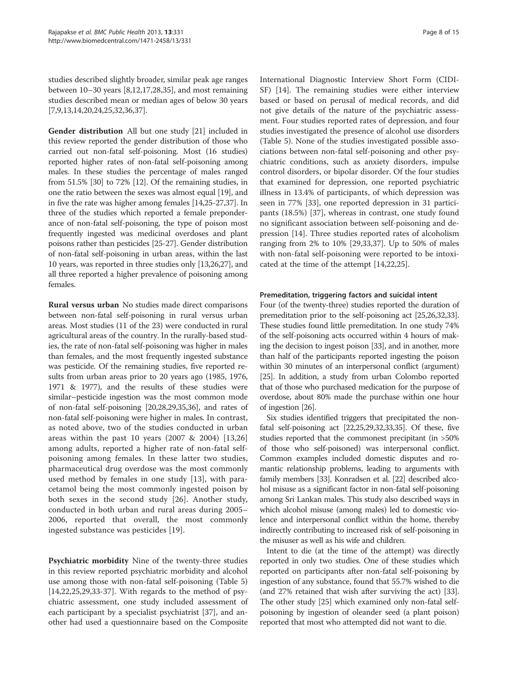studies described slightly broader, similar peak age ranges between 10–30 years [[8,12,17,](#page-12-0)[28,35\]](#page-13-0), and most remaining studies described mean or median ages of below 30 years [[7,9,13,14,20,](#page-12-0)[24,25,32,36,37\]](#page-13-0).

Gender distribution All but one study [\[21\]](#page-13-0) included in this review reported the gender distribution of those who carried out non-fatal self-poisoning. Most (16 studies) reported higher rates of non-fatal self-poisoning among males. In these studies the percentage of males ranged from 51.5% [[30](#page-13-0)] to 72% [[12](#page-12-0)]. Of the remaining studies, in one the ratio between the sexes was almost equal [\[19\]](#page-12-0), and in five the rate was higher among females [\[14,](#page-12-0)[25-27](#page-13-0),[37](#page-13-0)]. In three of the studies which reported a female preponderance of non-fatal self-poisoning, the type of poison most frequently ingested was medicinal overdoses and plant poisons rather than pesticides [\[25-27\]](#page-13-0). Gender distribution of non-fatal self-poisoning in urban areas, within the last 10 years, was reported in three studies only [\[13,](#page-12-0)[26,27\]](#page-13-0), and all three reported a higher prevalence of poisoning among females.

Rural versus urban No studies made direct comparisons between non-fatal self-poisoning in rural versus urban areas. Most studies (11 of the 23) were conducted in rural agricultural areas of the country. In the rurally-based studies, the rate of non-fatal self-poisoning was higher in males than females, and the most frequently ingested substance was pesticide. Of the remaining studies, five reported results from urban areas prior to 20 years ago (1985, 1976, 1971 & 1977), and the results of these studies were similar–pesticide ingestion was the most common mode of non-fatal self-poisoning [\[20](#page-12-0)[,28,29,35,36\]](#page-13-0), and rates of non-fatal self-poisoning were higher in males. In contrast, as noted above, two of the studies conducted in urban areas within the past 10 years (2007 & 2004) [\[13](#page-12-0)[,26](#page-13-0)] among adults, reported a higher rate of non-fatal selfpoisoning among females. In these latter two studies, pharmaceutical drug overdose was the most commonly used method by females in one study [[13\]](#page-12-0), with paracetamol being the most commonly ingested poison by both sexes in the second study [\[26](#page-13-0)]. Another study, conducted in both urban and rural areas during 2005– 2006, reported that overall, the most commonly ingested substance was pesticides [\[19](#page-12-0)].

Psychiatric morbidity Nine of the twenty-three studies in this review reported psychiatric morbidity and alcohol use among those with non-fatal self-poisoning (Table [5](#page-8-0)) [[14,](#page-12-0)[22,25,29,33-37\]](#page-13-0). With regards to the method of psychiatric assessment, one study included assessment of each participant by a specialist psychiatrist [\[37\]](#page-13-0), and another had used a questionnaire based on the Composite International Diagnostic Interview Short Form (CIDI-SF) [\[14](#page-12-0)]. The remaining studies were either interview based or based on perusal of medical records, and did not give details of the nature of the psychiatric assessment. Four studies reported rates of depression, and four studies investigated the presence of alcohol use disorders (Table [5](#page-8-0)). None of the studies investigated possible associations between non-fatal self-poisoning and other psychiatric conditions, such as anxiety disorders, impulse control disorders, or bipolar disorder. Of the four studies that examined for depression, one reported psychiatric illness in 13.4% of participants, of which depression was seen in 77% [\[33](#page-13-0)], one reported depression in 31 participants (18.5%) [[37](#page-13-0)], whereas in contrast, one study found no significant association between self-poisoning and depression [\[14\]](#page-12-0). Three studies reported rates of alcoholism ranging from 2% to 10% [\[29,33,37\]](#page-13-0). Up to 50% of males with non-fatal self-poisoning were reported to be intoxicated at the time of the attempt [\[14](#page-12-0)[,22,25](#page-13-0)].

#### Premeditation, triggering factors and suicidal intent

Four (of the twenty-three) studies reported the duration of premeditation prior to the self-poisoning act [\[25,26,32,33](#page-13-0)]. These studies found little premeditation. In one study 74% of the self-poisoning acts occurred within 4 hours of making the decision to ingest poison [\[33\]](#page-13-0), and in another, more than half of the participants reported ingesting the poison within 30 minutes of an interpersonal conflict (argument) [[25](#page-13-0)]. In addition, a study from urban Colombo reported that of those who purchased medication for the purpose of overdose, about 80% made the purchase within one hour of ingestion [\[26\]](#page-13-0).

Six studies identified triggers that precipitated the nonfatal self-poisoning act [[22,25,29,32,33,35](#page-13-0)]. Of these, five studies reported that the commonest precipitant (in >50% of those who self-poisoned) was interpersonal conflict. Common examples included domestic disputes and romantic relationship problems, leading to arguments with family members [[33](#page-13-0)]. Konradsen et al. [\[22\]](#page-13-0) described alcohol misuse as a significant factor in non-fatal self-poisoning among Sri Lankan males. This study also described ways in which alcohol misuse (among males) led to domestic violence and interpersonal conflict within the home, thereby indirectly contributing to increased risk of self-poisoning in the misuser as well as his wife and children.

Intent to die (at the time of the attempt) was directly reported in only two studies. One of these studies which reported on participants after non-fatal self-poisoning by ingestion of any substance, found that 55.7% wished to die (and 27% retained that wish after surviving the act) [[33](#page-13-0)]. The other study [\[25](#page-13-0)] which examined only non-fatal selfpoisoning by ingestion of oleander seed (a plant poison) reported that most who attempted did not want to die.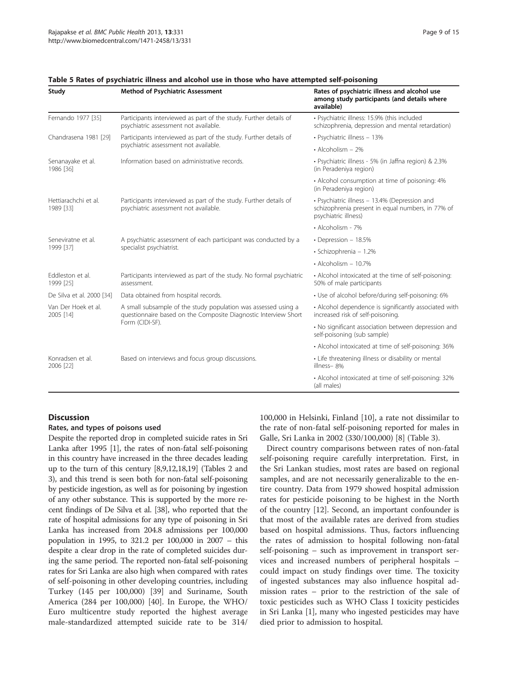| Study                             | <b>Method of Psychiatric Assessment</b>                                                                                           | Rates of psychiatric illness and alcohol use<br>among study participants (and details where<br>available)                  |
|-----------------------------------|-----------------------------------------------------------------------------------------------------------------------------------|----------------------------------------------------------------------------------------------------------------------------|
| Fernando 1977 [35]                | Participants interviewed as part of the study. Further details of<br>psychiatric assessment not available.                        | · Psychiatric illness: 15.9% (this included<br>schizophrenia, depression and mental retardation)                           |
| Chandrasena 1981 [29]             | Participants interviewed as part of the study. Further details of                                                                 | · Psychiatric illness - 13%                                                                                                |
|                                   | psychiatric assessment not available.                                                                                             | $\cdot$ Alcoholism - 2%                                                                                                    |
| Senanayake et al.<br>1986 [36]    | Information based on administrative records.                                                                                      | · Psychiatric illness - 5% (in Jaffna region) & 2.3%<br>(in Peradeniya region)                                             |
|                                   |                                                                                                                                   | • Alcohol consumption at time of poisoning: 4%<br>(in Peradeniya region)                                                   |
| Hettiarachchi et al.<br>1989 [33] | Participants interviewed as part of the study. Further details of<br>psychiatric assessment not available.                        | · Psychiatric illness - 13.4% (Depression and<br>schizophrenia present in equal numbers, in 77% of<br>psychiatric illness) |
|                                   |                                                                                                                                   | • Alcoholism - 7%                                                                                                          |
| Seneviratne et al.                | A psychiatric assessment of each participant was conducted by a                                                                   | • Depression $-18.5%$                                                                                                      |
| 1999 [37]                         | specialist psychiatrist.                                                                                                          | $\cdot$ Schizophrenia - 1.2%                                                                                               |
|                                   |                                                                                                                                   | $\cdot$ Alcoholism - 10.7%                                                                                                 |
| Eddleston et al.<br>1999 [25]     | Participants interviewed as part of the study. No formal psychiatric<br>assessment.                                               | • Alcohol intoxicated at the time of self-poisoning:<br>50% of male participants                                           |
| De Silva et al. 2000 [34]         | Data obtained from hospital records.                                                                                              | • Use of alcohol before/during self-poisoning: 6%                                                                          |
| Van Der Hoek et al.<br>2005 [14]  | A small subsample of the study population was assessed using a<br>questionnaire based on the Composite Diagnostic Interview Short | • Alcohol dependence is significantly associated with<br>increased risk of self-poisoning.                                 |
|                                   | Form (CIDI-SF).                                                                                                                   | • No significant association between depression and<br>self-poisoning (sub sample)                                         |
|                                   |                                                                                                                                   | • Alcohol intoxicated at time of self-poisoning: 36%                                                                       |
| Konradsen et al.<br>2006 [22]     | Based on interviews and focus group discussions.                                                                                  | • Life threatening illness or disability or mental<br>illness-8%                                                           |
|                                   |                                                                                                                                   | • Alcohol intoxicated at time of self-poisoning: 32%<br>(all males)                                                        |

<span id="page-8-0"></span>Table 5 Rates of psychiatric illness and alcohol use in those who have attempted self-poisoning

#### **Discussion**

#### Rates, and types of poisons used

Despite the reported drop in completed suicide rates in Sri Lanka after 1995 [\[1\]](#page-12-0), the rates of non-fatal self-poisoning in this country have increased in the three decades leading up to the turn of this century [\[8,9,12,18,19](#page-12-0)] (Tables [2](#page-5-0) and [3](#page-6-0)), and this trend is seen both for non-fatal self-poisoning by pesticide ingestion, as well as for poisoning by ingestion of any other substance. This is supported by the more recent findings of De Silva et al. [\[38\]](#page-13-0), who reported that the rate of hospital admissions for any type of poisoning in Sri Lanka has increased from 204.8 admissions per 100,000 population in 1995, to 321.2 per 100,000 in 2007 – this despite a clear drop in the rate of completed suicides during the same period. The reported non-fatal self-poisoning rates for Sri Lanka are also high when compared with rates of self-poisoning in other developing countries, including Turkey (145 per 100,000) [\[39](#page-13-0)] and Suriname, South America (284 per 100,000) [\[40\]](#page-13-0). In Europe, the WHO/ Euro multicentre study reported the highest average male-standardized attempted suicide rate to be 314/ 100,000 in Helsinki, Finland [[10](#page-12-0)], a rate not dissimilar to the rate of non-fatal self-poisoning reported for males in Galle, Sri Lanka in 2002 (330/100,000) [\[8\]](#page-12-0) (Table [3\)](#page-6-0).

Direct country comparisons between rates of non-fatal self-poisoning require carefully interpretation. First, in the Sri Lankan studies, most rates are based on regional samples, and are not necessarily generalizable to the entire country. Data from 1979 showed hospital admission rates for pesticide poisoning to be highest in the North of the country [[12](#page-12-0)]. Second, an important confounder is that most of the available rates are derived from studies based on hospital admissions. Thus, factors influencing the rates of admission to hospital following non-fatal self-poisoning – such as improvement in transport services and increased numbers of peripheral hospitals – could impact on study findings over time. The toxicity of ingested substances may also influence hospital admission rates – prior to the restriction of the sale of toxic pesticides such as WHO Class I toxicity pesticides in Sri Lanka [\[1](#page-12-0)], many who ingested pesticides may have died prior to admission to hospital.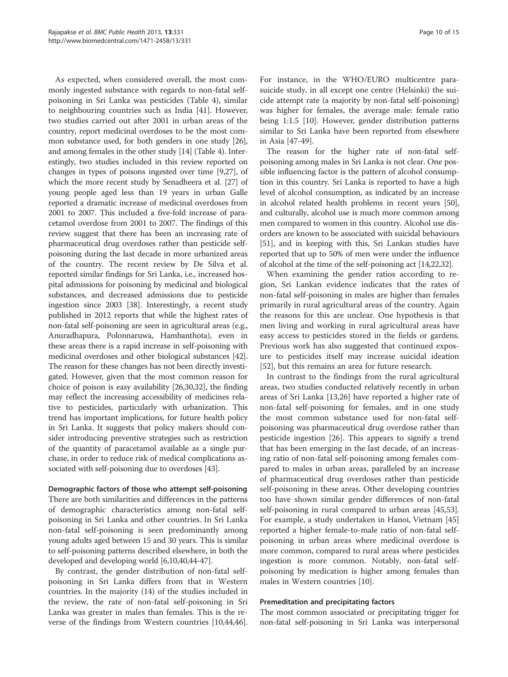As expected, when considered overall, the most commonly ingested substance with regards to non-fatal selfpoisoning in Sri Lanka was pesticides (Table [4\)](#page-6-0), similar to neighbouring countries such as India [\[41](#page-13-0)]. However, two studies carried out after 2001 in urban areas of the country, report medicinal overdoses to be the most common substance used, for both genders in one study [[26](#page-13-0)], and among females in the other study [[14](#page-12-0)] (Table [4](#page-6-0)). Interestingly, two studies included in this review reported on changes in types of poisons ingested over time [\[9](#page-12-0)[,27\]](#page-13-0), of which the more recent study by Senadheera et al. [\[27](#page-13-0)] of young people aged less than 19 years in urban Galle reported a dramatic increase of medicinal overdoses from 2001 to 2007. This included a five-fold increase of paracetamol overdose from 2001 to 2007. The findings of this review suggest that there has been an increasing rate of pharmaceutical drug overdoses rather than pesticide selfpoisoning during the last decade in more urbanized areas of the country. The recent review by De Silva et al. reported similar findings for Sri Lanka, i.e., increased hospital admissions for poisoning by medicinal and biological substances, and decreased admissions due to pesticide ingestion since 2003 [[38](#page-13-0)]. Interestingly, a recent study published in 2012 reports that while the highest rates of non-fatal self-poisoning are seen in agricultural areas (e.g., Anuradhapura, Polonnaruwa, Hambanthota), even in these areas there is a rapid increase in self-poisoning with medicinal overdoses and other biological substances [[42](#page-13-0)]. The reason for these changes has not been directly investigated. However, given that the most common reason for choice of poison is easy availability [[26,30,32\]](#page-13-0), the finding may reflect the increasing accessibility of medicines relative to pesticides, particularly with urbanization. This trend has important implications, for future health policy in Sri Lanka. It suggests that policy makers should consider introducing preventive strategies such as restriction of the quantity of paracetamol available as a single purchase, in order to reduce risk of medical complications associated with self-poisoning due to overdoses [[43](#page-13-0)].

#### Demographic factors of those who attempt self-poisoning

There are both similarities and differences in the patterns of demographic characteristics among non-fatal selfpoisoning in Sri Lanka and other countries. In Sri Lanka non-fatal self-poisoning is seen predominantly among young adults aged between 15 and 30 years. This is similar to self-poisoning patterns described elsewhere, in both the developed and developing world [\[6,10,](#page-12-0)[40,44](#page-13-0)-[47](#page-13-0)].

By contrast, the gender distribution of non-fatal selfpoisoning in Sri Lanka differs from that in Western countries. In the majority (14) of the studies included in the review, the rate of non-fatal self-poisoning in Sri Lanka was greater in males than females. This is the reverse of the findings from Western countries [\[10](#page-12-0)[,44,46](#page-13-0)].

For instance, in the WHO/EURO multicentre parasuicide study, in all except one centre (Helsinki) the suicide attempt rate (a majority by non-fatal self-poisoning) was higher for females, the average male: female ratio being 1:1.5 [\[10](#page-12-0)]. However, gender distribution patterns similar to Sri Lanka have been reported from elsewhere in Asia [[47](#page-13-0)-[49\]](#page-13-0).

The reason for the higher rate of non-fatal selfpoisoning among males in Sri Lanka is not clear. One possible influencing factor is the pattern of alcohol consumption in this country. Sri Lanka is reported to have a high level of alcohol consumption, as indicated by an increase in alcohol related health problems in recent years [[50](#page-13-0)], and culturally, alcohol use is much more common among men compared to women in this country. Alcohol use disorders are known to be associated with suicidal behaviours [[51](#page-13-0)], and in keeping with this, Sri Lankan studies have reported that up to 50% of men were under the influence of alcohol at the time of the self-poisoning act [[14](#page-12-0)[,22,32\]](#page-13-0).

When examining the gender ratios according to region, Sri Lankan evidence indicates that the rates of non-fatal self-poisoning in males are higher than females primarily in rural agricultural areas of the country. Again the reasons for this are unclear. One hypothesis is that men living and working in rural agricultural areas have easy access to pesticides stored in the fields or gardens. Previous work has also suggested that continued exposure to pesticides itself may increase suicidal ideation [[52\]](#page-13-0), but this remains an area for future research.

In contrast to the findings from the rural agricultural areas, two studies conducted relatively recently in urban areas of Sri Lanka [\[13,](#page-12-0)[26\]](#page-13-0) have reported a higher rate of non-fatal self-poisoning for females, and in one study the most common substance used for non-fatal selfpoisoning was pharmaceutical drug overdose rather than pesticide ingestion [[26\]](#page-13-0). This appears to signify a trend that has been emerging in the last decade, of an increasing ratio of non-fatal self-poisoning among females compared to males in urban areas, paralleled by an increase of pharmaceutical drug overdoses rather than pesticide self-poisoning in these areas. Other developing countries too have shown similar gender differences of non-fatal self-poisoning in rural compared to urban areas [\[45,53](#page-13-0)]. For example, a study undertaken in Hanoi, Vietnam [[45](#page-13-0)] reported a higher female-to-male ratio of non-fatal selfpoisoning in urban areas where medicinal overdose is more common, compared to rural areas where pesticides ingestion is more common. Notably, non-fatal selfpoisoning by medication is higher among females than males in Western countries [[10](#page-12-0)].

#### Premeditation and precipitating factors

The most common associated or precipitating trigger for non-fatal self-poisoning in Sri Lanka was interpersonal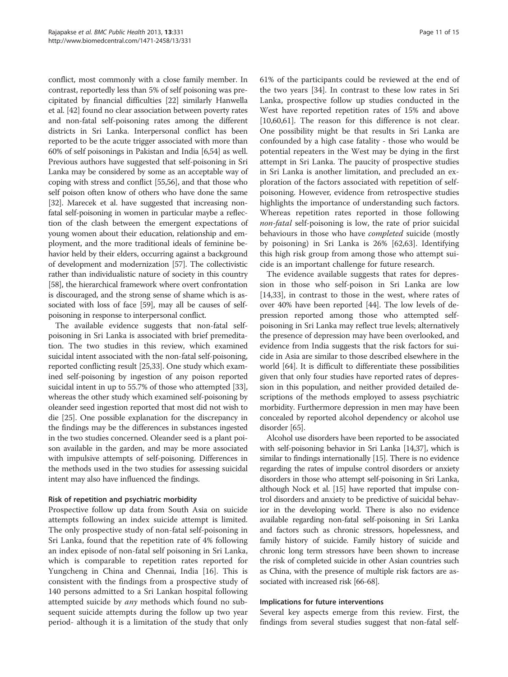conflict, most commonly with a close family member. In contrast, reportedly less than 5% of self poisoning was precipitated by financial difficulties [\[22\]](#page-13-0) similarly Hanwella et al. [\[42\]](#page-13-0) found no clear association between poverty rates and non-fatal self-poisoning rates among the different districts in Sri Lanka. Interpersonal conflict has been reported to be the acute trigger associated with more than 60% of self poisonings in Pakistan and India [\[6,](#page-12-0)[54\]](#page-13-0) as well. Previous authors have suggested that self-poisoning in Sri Lanka may be considered by some as an acceptable way of coping with stress and conflict [\[55,56](#page-13-0)], and that those who self poison often know of others who have done the same [[32](#page-13-0)]. Marecek et al. have suggested that increasing nonfatal self-poisoning in women in particular maybe a reflection of the clash between the emergent expectations of young women about their education, relationship and employment, and the more traditional ideals of feminine behavior held by their elders, occurring against a background of development and modernization [[57](#page-13-0)]. The collectivistic rather than individualistic nature of society in this country [[58](#page-13-0)], the hierarchical framework where overt confrontation is discouraged, and the strong sense of shame which is associated with loss of face [\[59\]](#page-13-0), may all be causes of selfpoisoning in response to interpersonal conflict.

The available evidence suggests that non-fatal selfpoisoning in Sri Lanka is associated with brief premeditation. The two studies in this review, which examined suicidal intent associated with the non-fatal self-poisoning, reported conflicting result [\[25,33](#page-13-0)]. One study which examined self-poisoning by ingestion of any poison reported suicidal intent in up to 55.7% of those who attempted [[33](#page-13-0)], whereas the other study which examined self-poisoning by oleander seed ingestion reported that most did not wish to die [\[25](#page-13-0)]. One possible explanation for the discrepancy in the findings may be the differences in substances ingested in the two studies concerned. Oleander seed is a plant poison available in the garden, and may be more associated with impulsive attempts of self-poisoning. Differences in the methods used in the two studies for assessing suicidal intent may also have influenced the findings.

#### Risk of repetition and psychiatric morbidity

Prospective follow up data from South Asia on suicide attempts following an index suicide attempt is limited. The only prospective study of non-fatal self-poisoning in Sri Lanka, found that the repetition rate of 4% following an index episode of non-fatal self poisoning in Sri Lanka, which is comparable to repetition rates reported for Yungcheng in China and Chennai, India [[16\]](#page-12-0). This is consistent with the findings from a prospective study of 140 persons admitted to a Sri Lankan hospital following attempted suicide by *any* methods which found no subsequent suicide attempts during the follow up two year period- although it is a limitation of the study that only 61% of the participants could be reviewed at the end of the two years [\[34\]](#page-13-0). In contrast to these low rates in Sri Lanka, prospective follow up studies conducted in the West have reported repetition rates of 15% and above [[10,](#page-12-0)[60,61\]](#page-13-0). The reason for this difference is not clear. One possibility might be that results in Sri Lanka are confounded by a high case fatality - those who would be potential repeaters in the West may be dying in the first attempt in Sri Lanka. The paucity of prospective studies in Sri Lanka is another limitation, and precluded an exploration of the factors associated with repetition of selfpoisoning. However, evidence from retrospective studies highlights the importance of understanding such factors. Whereas repetition rates reported in those following non-fatal self-poisoning is low, the rate of prior suicidal behaviours in those who have *completed* suicide (mostly by poisoning) in Sri Lanka is 26% [[62,63](#page-13-0)]. Identifying this high risk group from among those who attempt suicide is an important challenge for future research.

The evidence available suggests that rates for depression in those who self-poison in Sri Lanka are low [[14,](#page-12-0)[33\]](#page-13-0), in contrast to those in the west, where rates of over 40% have been reported [\[44\]](#page-13-0). The low levels of depression reported among those who attempted selfpoisoning in Sri Lanka may reflect true levels; alternatively the presence of depression may have been overlooked, and evidence from India suggests that the risk factors for suicide in Asia are similar to those described elsewhere in the world [\[64\]](#page-13-0). It is difficult to differentiate these possibilities given that only four studies have reported rates of depression in this population, and neither provided detailed descriptions of the methods employed to assess psychiatric morbidity. Furthermore depression in men may have been concealed by reported alcohol dependency or alcohol use disorder [\[65\]](#page-13-0).

Alcohol use disorders have been reported to be associated with self-poisoning behavior in Sri Lanka [\[14,](#page-12-0)[37\]](#page-13-0), which is similar to findings internationally [\[15](#page-12-0)]. There is no evidence regarding the rates of impulse control disorders or anxiety disorders in those who attempt self-poisoning in Sri Lanka, although Nock et al. [\[15\]](#page-12-0) have reported that impulse control disorders and anxiety to be predictive of suicidal behavior in the developing world. There is also no evidence available regarding non-fatal self-poisoning in Sri Lanka and factors such as chronic stressors, hopelessness, and family history of suicide. Family history of suicide and chronic long term stressors have been shown to increase the risk of completed suicide in other Asian countries such as China, with the presence of multiple risk factors are associated with increased risk [[66](#page-13-0)-[68\]](#page-13-0).

#### Implications for future interventions

Several key aspects emerge from this review. First, the findings from several studies suggest that non-fatal self-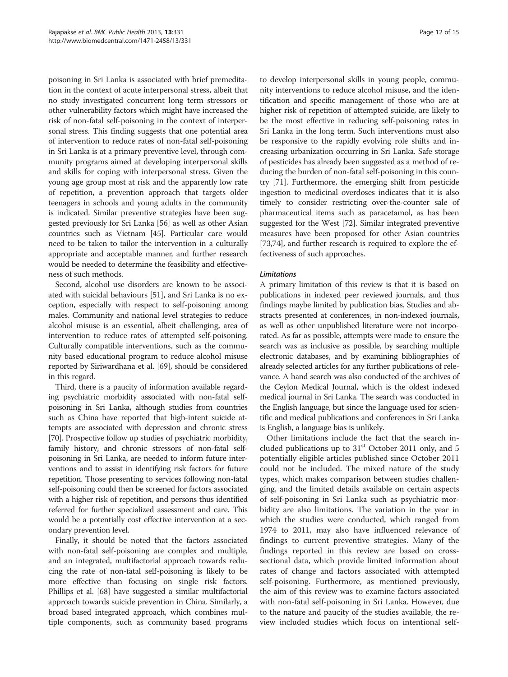poisoning in Sri Lanka is associated with brief premeditation in the context of acute interpersonal stress, albeit that no study investigated concurrent long term stressors or other vulnerability factors which might have increased the risk of non-fatal self-poisoning in the context of interpersonal stress. This finding suggests that one potential area of intervention to reduce rates of non-fatal self-poisoning in Sri Lanka is at a primary preventive level, through community programs aimed at developing interpersonal skills and skills for coping with interpersonal stress. Given the young age group most at risk and the apparently low rate of repetition, a prevention approach that targets older teenagers in schools and young adults in the community is indicated. Similar preventive strategies have been suggested previously for Sri Lanka [\[56\]](#page-13-0) as well as other Asian countries such as Vietnam [\[45\]](#page-13-0). Particular care would need to be taken to tailor the intervention in a culturally appropriate and acceptable manner, and further research would be needed to determine the feasibility and effectiveness of such methods.

Second, alcohol use disorders are known to be associated with suicidal behaviours [\[51\]](#page-13-0), and Sri Lanka is no exception, especially with respect to self-poisoning among males. Community and national level strategies to reduce alcohol misuse is an essential, albeit challenging, area of intervention to reduce rates of attempted self-poisoning. Culturally compatible interventions, such as the community based educational program to reduce alcohol misuse reported by Siriwardhana et al. [\[69\]](#page-13-0), should be considered in this regard.

Third, there is a paucity of information available regarding psychiatric morbidity associated with non-fatal selfpoisoning in Sri Lanka, although studies from countries such as China have reported that high-intent suicide attempts are associated with depression and chronic stress [[70](#page-13-0)]. Prospective follow up studies of psychiatric morbidity, family history, and chronic stressors of non-fatal selfpoisoning in Sri Lanka, are needed to inform future interventions and to assist in identifying risk factors for future repetition. Those presenting to services following non-fatal self-poisoning could then be screened for factors associated with a higher risk of repetition, and persons thus identified referred for further specialized assessment and care. This would be a potentially cost effective intervention at a secondary prevention level.

Finally, it should be noted that the factors associated with non-fatal self-poisoning are complex and multiple, and an integrated, multifactorial approach towards reducing the rate of non-fatal self-poisoning is likely to be more effective than focusing on single risk factors. Phillips et al. [[68](#page-13-0)] have suggested a similar multifactorial approach towards suicide prevention in China. Similarly, a broad based integrated approach, which combines multiple components, such as community based programs

to develop interpersonal skills in young people, community interventions to reduce alcohol misuse, and the identification and specific management of those who are at higher risk of repetition of attempted suicide, are likely to be the most effective in reducing self-poisoning rates in Sri Lanka in the long term. Such interventions must also be responsive to the rapidly evolving role shifts and increasing urbanization occurring in Sri Lanka. Safe storage of pesticides has already been suggested as a method of reducing the burden of non-fatal self-poisoning in this country [\[71\]](#page-13-0). Furthermore, the emerging shift from pesticide ingestion to medicinal overdoses indicates that it is also timely to consider restricting over-the-counter sale of pharmaceutical items such as paracetamol, as has been suggested for the West [\[72\]](#page-14-0). Similar integrated preventive measures have been proposed for other Asian countries [[73,74](#page-14-0)], and further research is required to explore the effectiveness of such approaches.

### **Limitations**

A primary limitation of this review is that it is based on publications in indexed peer reviewed journals, and thus findings maybe limited by publication bias. Studies and abstracts presented at conferences, in non-indexed journals, as well as other unpublished literature were not incorporated. As far as possible, attempts were made to ensure the search was as inclusive as possible, by searching multiple electronic databases, and by examining bibliographies of already selected articles for any further publications of relevance. A hand search was also conducted of the archives of the Ceylon Medical Journal, which is the oldest indexed medical journal in Sri Lanka. The search was conducted in the English language, but since the language used for scientific and medical publications and conferences in Sri Lanka is English, a language bias is unlikely.

Other limitations include the fact that the search included publications up to  $31<sup>st</sup>$  October 2011 only, and 5 potentially eligible articles published since October 2011 could not be included. The mixed nature of the study types, which makes comparison between studies challenging, and the limited details available on certain aspects of self-poisoning in Sri Lanka such as psychiatric morbidity are also limitations. The variation in the year in which the studies were conducted, which ranged from 1974 to 2011, may also have influenced relevance of findings to current preventive strategies. Many of the findings reported in this review are based on crosssectional data, which provide limited information about rates of change and factors associated with attempted self-poisoning. Furthermore, as mentioned previously, the aim of this review was to examine factors associated with non-fatal self-poisoning in Sri Lanka. However, due to the nature and paucity of the studies available, the review included studies which focus on intentional self-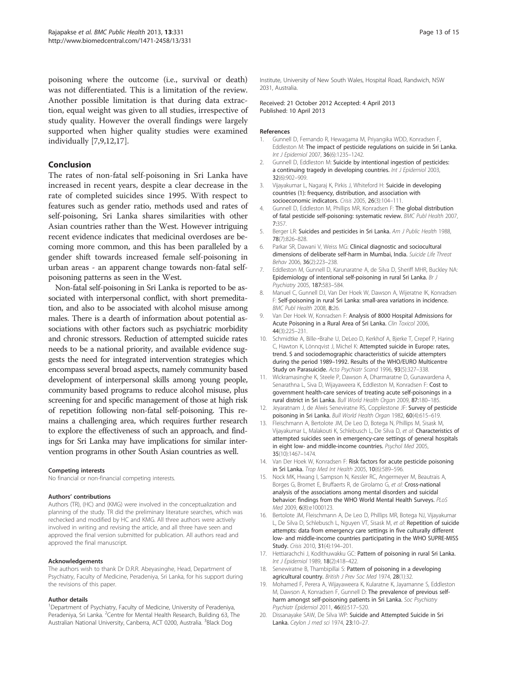<span id="page-12-0"></span>poisoning where the outcome (i.e., survival or death) was not differentiated. This is a limitation of the review. Another possible limitation is that during data extraction, equal weight was given to all studies, irrespective of study quality. However the overall findings were largely supported when higher quality studies were examined individually [7,9,12,17].

#### Conclusion

The rates of non-fatal self-poisoning in Sri Lanka have increased in recent years, despite a clear decrease in the rate of completed suicides since 1995. With respect to features such as gender ratio, methods used and rates of self-poisoning, Sri Lanka shares similarities with other Asian countries rather than the West. However intriguing recent evidence indicates that medicinal overdoses are becoming more common, and this has been paralleled by a gender shift towards increased female self-poisoning in urban areas - an apparent change towards non-fatal selfpoisoning patterns as seen in the West.

Non-fatal self-poisoning in Sri Lanka is reported to be associated with interpersonal conflict, with short premeditation, and also to be associated with alcohol misuse among males. There is a dearth of information about potential associations with other factors such as psychiatric morbidity and chronic stressors. Reduction of attempted suicide rates needs to be a national priority, and available evidence suggests the need for integrated intervention strategies which encompass several broad aspects, namely community based development of interpersonal skills among young people, community based programs to reduce alcohol misuse, plus screening for and specific management of those at high risk of repetition following non-fatal self-poisoning. This remains a challenging area, which requires further research to explore the effectiveness of such an approach, and findings for Sri Lanka may have implications for similar intervention programs in other South Asian countries as well.

#### Competing interests

No financial or non-financial competing interests.

#### Authors' contributions

Authors (TR), (HC) and (KMG) were involved in the conceptualization and planning of the study. TR did the preliminary literature searches, which was rechecked and modified by HC and KMG. All three authors were actively involved in writing and revising the article, and all three have seen and approved the final version submitted for publication. All authors read and approved the final manuscript.

#### Acknowledgements

The authors wish to thank Dr D.R.R. Abeyasinghe, Head, Department of Psychiatry, Faculty of Medicine, Peradeniya, Sri Lanka, for his support during the revisions of this paper.

#### Author details

<sup>1</sup>Department of Psychiatry, Faculty of Medicine, University of Peradeniya, Peradeniya, Sri Lanka. <sup>2</sup>Centre for Mental Health Research, Building 63, The Australian National University, Canberra, ACT 0200, Australia. <sup>3</sup>Black Dog

Institute, University of New South Wales, Hospital Road, Randwich, NSW 2031, Australia.

#### Received: 21 October 2012 Accepted: 4 April 2013 Published: 10 April 2013

#### References

- 1. Gunnell D, Fernando R, Hewagama M, Priyangika WDD, Konradsen F, Eddleston M: The impact of pesticide regulations on suicide in Sri Lanka. Int J Epidemiol 2007, 36(6):1235–1242.
- 2. Gunnell D, Eddleston M: Suicide by intentional ingestion of pesticides: a continuing tragedy in developing countries. Int J Epidemiol 2003, 32(6):902–909.
- 3. Vijayakumar L, Nagaraj K, Pirkis J, Whiteford H: Suicide in developing countries (1): frequency, distribution, and association with socioeconomic indicators. Crisis 2005, 26(3):104-111.
- 4. Gunnell D, Eddleston M, Phillips MR, Konradsen F: The global distribution of fatal pesticide self-poisoning: systematic review. BMC Publ Health 2007, 7:357.
- 5. Berger LR: Suicides and pesticides in Sri Lanka. Am J Public Health 1988, 78(7):826–828.
- 6. Parkar SR, Dawani V, Weiss MG: Clinical diagnostic and sociocultural dimensions of deliberate self-harm in Mumbai, India. Suicide Life Threat Behav 2006, 36(2):223–238.
- 7. Eddleston M, Gunnell D, Karunaratne A, de Silva D, Sheriff MHR, Buckley NA: Epidemiology of intentional self-poisoning in rural Sri Lanka. Br J Psychiatry 2005, 187:583–584.
- 8. Manuel C, Gunnell DJ, Van Der Hoek W, Dawson A, Wijeratne IK, Konradsen F: Self-poisoning in rural Sri Lanka: small-area variations in incidence. BMC Publ Health 2008, 8:26.
- 9. Van Der Hoek W, Konradsen F: Analysis of 8000 Hospital Admissions for Acute Poisoning in a Rural Area of Sri Lanka. Clin Toxicol 2006, 44(3):225–231.
- 10. Schmidtke A, Bille--Brahe U, DeLeo D, Kerkhof A, Bjerke T, Crepef P, Haring C, Hawton K, Lönnqvist J, Michel K: Attempted suicide in Europe: rates, trend. S and sociodemographic characteristics of suicide attempters during the period 1989–1992. Results of the WHO/EURO Multicentre Study on Parasuicide. Acta Psychiatr Scand 1996, 93(5):327–338.
- 11. Wickramasinghe K, Steele P, Dawson A, Dharmaratne D, Gunawardena A, Senarathna L, Siva D, Wijayaweera K, Eddleston M, Konradsen F: Cost to government health-care services of treating acute self-poisonings in a rural district in Sri Lanka. Bull World Health Organ 2009, 87:180–185.
- 12. Jeyaratnam J, de Alwis Seneviratne RS, Copplestone JF: Survey of pesticide poisoning in Sri Lanka. Bull World Health Organ 1982, 60(4):615–619.
- 13. Fleischmann A, Bertolote JM, De Leo D, Botega N, Phillips M, Sisask M, Vijayakumar L, Malakouti K, Schlebusch L, De Silva D, et al: Characteristics of attempted suicides seen in emergency-care settings of general hospitals in eight low- and middle-income countries. Psychol Med 2005, 35(10):1467–1474.
- 14. Van Der Hoek W, Konradsen F: Risk factors for acute pesticide poisoning in Sri Lanka. Trop Med Int Health 2005, 10(6):589–596.
- 15. Nock MK, Hwang I, Sampson N, Kessler RC, Angermeyer M, Beautrais A, Borges G, Bromet E, Bruffaerts R, de Girolamo G, et al: Cross-national analysis of the associations among mental disorders and suicidal behavior: findings from the WHO World Mental Health Surveys. PLoS Med 2009, 6(8):e1000123.
- 16. Bertolote JM, Fleischmann A, De Leo D, Phillips MR, Botega NJ, Vijayakumar L, De Silva D, Schlebusch L, Nguyen VT, Sisask M, et al: Repetition of suicide attempts: data from emergency care settings in five culturally different low- and middle-income countries participating in the WHO SUPRE-MISS Study. Crisis 2010, 31(4):194–201.
- 17. Hettiarachchi J, Kodithuwakku GC: Pattern of poisoning in rural Sri Lanka. Int J Epidemiol 1989, 18(2):418–422.
- 18. Senewiratne B, Thambipillai S: Pattern of poisoning in a developing agricultural country. British J Prev Soc Med 1974, 28(1):32.
- 19. Mohamed F, Perera A, Wijayaweera K, Kularatne K, Jayamanne S, Eddleston M, Dawson A, Konradsen F, Gunnell D: The prevalence of previous selfharm amongst self-poisoning patients in Sri Lanka. Soc Psychiatry Psychiatr Epidemiol 2011, 46(6):517–520.
- 20. Dissanayake SAW, De Silva WP: Suicide and Attempted Suicide in Sri Lanka. Ceylon J med sci 1974, 23:10–27.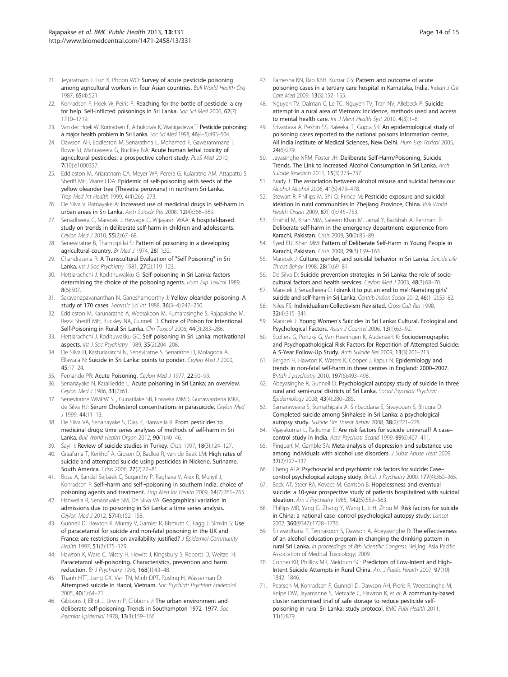- <span id="page-13-0"></span>21. Jeyaratnam J, Lun K, Phoon WO: Survey of acute pesticide poisoning among agricultural workers in four Asian countries. Bull World Health Org 1987, 65(4):521.
- 22. Konradsen F, Hoek W, Peiris P: Reaching for the bottle of pesticide-a cry for help. Self-inflicted poisonings in Sri Lanka. Soc Sci Med 2006, 62(7): 1710–1719.
- 23. Van der Hoek W, Konradsen F, Athukorala K, Wanigadewa T: Pesticide poisoning: a major health problem in Sri Lanka. Soc Sci Med 1998, 46(4-5):495-504.
- 24. Dawson AH, Eddleston M, Senarathna L, Mohamed F, Gawarammana I, Bowe SJ, Manuweera G, Buckley NA: Acute human lethal toxicity of agricultural pesticides: a prospective cohort study. PLoS Med 2010, 7(10):e1000357.
- 25. Eddleston M, Ariaratnam CA, Meyer WP, Perera G, Kularatne AM, Attapattu S, Sheriff MH, Warrell DA: Epidemic of self-poisoning with seeds of the yellow oleander tree (Thevetia peruviana) in northern Sri Lanka. Trop Med Int Health 1999, 4(4):266–273.
- 26. De Silva V, Ratnayake A: Increased use of medicinal drugs in self-harm in urban areas in Sri Lanka. Arch Suicide Res 2008, 12(4):366–369.
- 27. Senadheera C, Marecek J, Hewage C, Wijayasiri WAA: A hospital-based study on trends in deliberate self-harm in children and adolescents. Ceylon Med J 2010, 55(2):67–68.
- 28. Senewiratne B, Thambipillai S: Pattern of poisoning in a developing agricultural country. Br Med J 1974, 28(1):32.
- 29. Chandrasena R: A Transcultural Evaluation of "Self Poisoning" in Sri Lanka. Int J Soc Psychiatry 1981, 27(2):119–123.
- 30. Hettiarachchi J, Kodithuwakku G: Self-poisoning in Sri Lanka: factors determining the choice of the poisoning agents. Hum Exp Toxicol 1989, 8(6):507.
- 31. Saravanapavananthan N, Ganeshamoorthy J: Yellow oleander poisoning-A study of 170 cases. Forensic Sci Int 1988, 36(3–4):247–250.
- 32. Eddleston M, Karunaratne A, Weerakoon M, Kumarasinghe S, Rajapakshe M, Rezvi Sheriff MH, Buckley NA, Gunnell D: Choice of Poison for Intentional Self-Poisoning in Rural Sri Lanka. Clin Toxicol 2006, 44(3):283–286.
- 33. Hettiarachchi J, Kodituwakku GC: Self poisoning in Sri Lanka: motivational aspects. Int J Soc Psychiatry 1989, 35(2):204–208.
- 34. De Silva H, Kasturiaratchi N, Seneviratne S, Senaratne D, Molagoda A, Ellawala N: Suicide in Sri Lanka: points to ponder. Ceylon Med J 2000, 45:17–24.
- 35. Fernando PR: Acute Poisoning. Ceylon Med J 1977, 22:90-93.
- 36. Senanayake N, Karalliedde L: Acute poisoning in Sri Lanka: an overview. Ceylon Med J 1986, 31(2):61.
- 37. Seneviratne WMPW SL, Gunatilake SB, Fonseka MMD, Gunawardena MKR, de Silva HJ: Serum Cholesterol concentrations in parasuicide. Ceylon Med J 1999, 44:11–13.
- 38. De Silva VA, Senanayake S, Dias P, Hanwella R: From pesticides to medicinal drugs: time series analyses of methods of self-harm in Sri Lanka. Bull World Health Organ 2012, 90(1):40-46.
- 39. Sayil I: Review of suicide studies in Turkey. Crisis 1997, 18(3):124-127.
- 40. Graafsma T, Kerkhof A, Gibson D, Badloe R, van de Beek LM: High rates of suicide and attempted suicide using pesticides in Nickerie, Suriname, South America. Crisis 2006, 27(2):77–81.
- 41. Bose A, Sandal Sejbaek C, Suganthy P, Raghava V, Alex R, Muliyil J, Konradsen F: Self--harm and self--poisoning in southern India: choice of poisoning agents and treatment. Trop Med Int Health 2009, 14(7):761–765.
- 42. Hanwella R, Senanayake SM, De Silva VA: Geographical variation in admissions due to poisoning in Sri Lanka: a time series analysis. Ceylon Med J 2012, 57(4):152–158.
- 43. Gunnell D, Hawton K, Murray V, Garnier R, Bismuth C, Fagg J, Simkin S: Use of paracetamol for suicide and non-fatal poisoning in the UK and France: are restrictions on availability justified? J Epidemiol Community Health 1997, 51(2):175–179.
- 44. Hawton K, Ware C, Mistry H, Hewitt J, Kingsbury S, Roberts D, Weitzel H: Paracetamol self-poisoning. Characteristics, prevention and harm reduction. Br J Psychiatry 1996, 168(1):43–48.
- 45. Thanh HTT, Jiang GX, Van TN, Minh DPT, Rosling H, Wasserman D: Attempted suicide in Hanoi, Vietnam. Soc Psychiatr Psychiatr Epidemiol 2005, 40(1):64–71.
- 46. Gibbons J, Elliot J, Urwin P, Gibbons J: The urban environment and deliberate self-poisoning: Trends in Southampton 1972-1977. Soc Psychiat Epidemiol 1978, 13(3):159–166.
- 47. Ramesha KN, Rao KBH, Kumar GS: Pattern and outcome of acute poisoning cases in a tertiary care hospital in Karnataka, India. Indian J Crit Care Med 2009, 13(3):152–155.
- 48. Nguyen TV, Dalman C, Le TC, Nguyen TV, Tran NV, Allebeck P: Suicide attempt in a rural area of Vietnam: Incidence, methods used and access to mental health care. Int J Ment Health Syst 2010, 4(3):1-6.
- 49. Srivastava A, Peshin SS, Kaleekal T, Gupta SK: An epidemiological study of poisoning cases reported to the national poisons information centre, All India Institute of Medical Sciences, New Delhi. Hum Exp Toxicol 2005, 24(6):279.
- 50. Jayasinghe NRM, Foster JH: Deliberate Self-Harm/Poisoning, Suicide Trends. The Link to Increased Alcohol Consumption in Sri Lanka. Arch Suicide Research 2011, 15(3):223–237.
- 51. Brady J: The association between alcohol misuse and suicidal behaviour. Alcohol Alcohol 2006, 41(5):473–478.
- 52. Stewart R, Phillips M, Shi Q, Prince M: Pesticide exposure and suicidal ideation in rural communities in Zhejiang Province, China. Bull World Health Organ 2009, 87(10):745–753.
- 53. Shahid M, Khan MM, Saleem Khan M, Jamal Y, Badshah A, Rehmani R: Deliberate self-harm in the emergency department: experience from Karachi, Pakistan. Crisis 2009, 30(2):85–89.
- Syed EU, Khan MM: Pattern of Deliberate Self-Harm in Young People in Karachi, Pakistan. Crisis 2008, 29(3):159–163.
- 55. Marecek J: Culture, gender, and suicidal behavior in Sri Lanka. Suicide Life Threat Behav 1998, 28(1):69–81.
- De Silva D: Suicide prevention strategies in Sri Lanka: the role of sociocultural factors and health services. Ceylon Med J 2003, 48(3):68–70.
- 57. Marecek J, Senadheera C: I drank it to put an end to me': Narrating girls' suicide and self-harm in Sri Lanka. Contrib Indian Sociol 2012, 46(1-2):53-82.
- 58. Niles FS: Individualism-Collectivism Revisited. Cross-Cult Res 1998, 32(4):315–341.
- 59. Maracek J: Young Women's Suicides In Sri Lanka: Cultural, Ecological and Psychological Factors. Asian J Counsel 2006, 13(1):63–92.
- 60. Scoliers G, Portzky G, Van Heeringen K, Audenaert K: Sociodemographic and Psychopathological Risk Factors for Repetition of Attempted Suicide: A 5-Year Follow-Up Study. Arch Suicide Res 2009, 13(3):201–213.
- 61. Bergen H, Hawton K, Waters K, Cooper J, Kapur N: Epidemiology and trends in non-fatal self-harm in three centres in England: 2000–2007. British J psychiatry 2010, 197(6):493–498.
- 62. Abeyasinghe R, Gunnell D: Psychological autopsy study of suicide in three rural and semi-rural districts of Sri Lanka. Social Psychiatr Psychiatr Epidemiology 2008, 43(4):280–285.
- 63. Samaraweera S, Sumathipala A, Siribaddana S, Sivayogan S, Bhugra D: Completed suicide among Sinhalese in Sri Lanka: a psychological autopsy study. Suicide Life Threat Behav 2008, 38(2):221–228.
- 64. Vijayakumar L, Rajkumar S: Are risk factors for suicide universal? A case– control study in India. Acta Psychiatr Scand 1999, 99(6):407–411.
- 65. Pinquart M, Gamble SA: Meta-analysis of depression and substance use among individuals with alcohol use disorders. J Subst Abuse Treat 2009, 37(2):127–137.
- 66. Cheng ATA: Psychosocial and psychiatric risk factors for suicide: Case– control psychological autopsy study. British J Psychiatry 2000, 177(4):360-365.
- 67. Beck AT, Steer RA, Kovacs M, Garrison B: Hopelessness and eventual suicide: a 10-year prospective study of patients hospitalized with suicidal ideation. Am J Psychiatry 1985, 142(5):559-563.
- 68. Phillips MR, Yang G, Zhang Y, Wang L, Ji H, Zhou M: Risk factors for suicide in China: a national case–control psychological autopsy study. Lancet 2002, 360(9347):1728–1736.
- 69. Siriwardhana P, Tennakoon S, Dawson A, Abeyasinghe R: The effectiveness of an alcohol education program in changing the drinking pattern in rural Sri Lanka. In proceedings of 8th Scientific Congress. Beijing: Asia Pacific Association of Medical Toxicology; 2009.
- 70. Conner KR, Phillips MR, Meldrum SC: Predictors of Low-Intent and High-Intent Suicide Attempts in Rural China. Am J Public Health 2007, 97(10): 1842–1846.
- 71. Pearson M, Konradsen F, Gunnell D, Dawson AH, Pieris R, Weerasinghe M, Knipe DW, Jayamanne S, Metcalfe C, Hawton K, et al: A community-based cluster randomised trial of safe storage to reduce pesticide selfpoisoning in rural Sri Lanka: study protocol. BMC Publ Health 2011, 11(1):879.